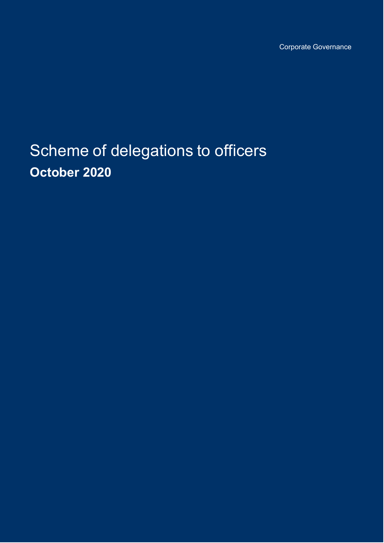Corporate Governance

Scheme of delegations to officers **October 2020**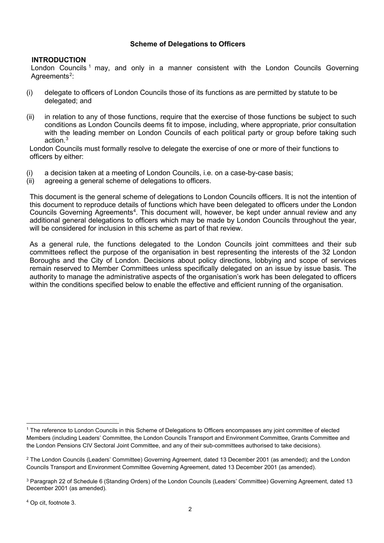# **Scheme of Delegations to Officers**

### **INTRODUCTION**

London Councils<sup>[1](#page-1-0)</sup> may, and only in a manner consistent with the London Councils Governing Agreements<sup>[2](#page-1-1)</sup>:

- (i) delegate to officers of London Councils those of its functions as are permitted by statute to be delegated; and
- (ii) in relation to any of those functions, require that the exercise of those functions be subject to such conditions as London Councils deems fit to impose, including, where appropriate, prior consultation with the leading member on London Councils of each political party or group before taking such action.[3](#page-1-2)

London Councils must formally resolve to delegate the exercise of one or more of their functions to officers by either:

- (i) a decision taken at a meeting of London Councils, i.e. on a case-by-case basis;
- (ii) agreeing a general scheme of delegations to officers.

This document is the general scheme of delegations to London Councils officers. It is not the intention of this document to reproduce details of functions which have been delegated to officers under the London Councils Governing Agreements<sup>[4](#page-1-3)</sup>. This document will, however, be kept under annual review and any additional general delegations to officers which may be made by London Councils throughout the year, will be considered for inclusion in this scheme as part of that review.

As a general rule, the functions delegated to the London Councils joint committees and their sub committees reflect the purpose of the organisation in best representing the interests of the 32 London Boroughs and the City of London. Decisions about policy directions, lobbying and scope of services remain reserved to Member Committees unless specifically delegated on an issue by issue basis. The authority to manage the administrative aspects of the organisation's work has been delegated to officers within the conditions specified below to enable the effective and efficient running of the organisation.

<span id="page-1-0"></span><sup>1</sup> The reference to London Councils in this Scheme of Delegations to Officers encompasses any joint committee of elected Members (including Leaders' Committee, the London Councils Transport and Environment Committee, Grants Committee and the London Pensions CIV Sectoral Joint Committee, and any of their sub-committees authorised to take decisions).

<span id="page-1-1"></span><sup>&</sup>lt;sup>2</sup> The London Councils (Leaders' Committee) Governing Agreement, dated 13 December 2001 (as amended); and the London Councils Transport and Environment Committee Governing Agreement, dated 13 December 2001 (as amended).

<span id="page-1-2"></span><sup>3</sup> Paragraph 22 of Schedule 6 (Standing Orders) of the London Councils (Leaders' Committee) Governing Agreement, dated 13 December 2001 (as amended).

<span id="page-1-3"></span><sup>4</sup> Op cit, footnote 3.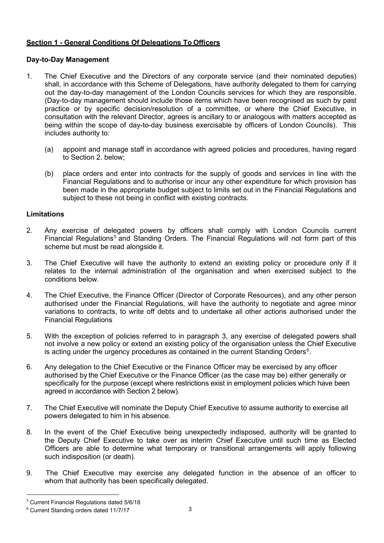# **Section 1 - General Conditions Of Delegations To Officers**

## **Day-to-Day Management**

- 1. The Chief Executive and the Directors of any corporate service (and their nominated deputies) shall, in accordance with this Scheme of Delegations, have authority delegated to them for carrying out the day-to-day management of the London Councils services for which they are responsible. (Day-to-day management should include those items which have been recognised as such by past practice or by specific decision/resolution of a committee, or where the Chief Executive, in consultation with the relevant Director, agrees is ancillary to or analogous with matters accepted as being within the scope of day-to-day business exercisable by officers of London Councils). This includes authority to:
	- (a) appoint and manage staff in accordance with agreed policies and procedures, having regard to Section 2. below;
	- (b) place orders and enter into contracts for the supply of goods and services in line with the Financial Regulations and to authorise or incur any other expenditure for which provision has been made in the appropriate budget subject to limits set out in the Financial Regulations and subject to these not being in conflict with existing contracts.

# **Limitations**

- 2. Any exercise of delegated powers by officers shall comply with London Councils current Financial Regulations<sup>[5](#page-2-0)</sup> and Standing Orders. The Financial Regulations will not form part of this scheme but must be read alongside it.
- 3. The Chief Executive will have the authority to extend an existing policy or procedure only if it relates to the internal administration of the organisation and when exercised subject to the conditions below.
- 4. The Chief Executive, the Finance Officer (Director of Corporate Resources), and any other person authorised under the Financial Regulations, will have the authority to negotiate and agree minor variations to contracts, to write off debts and to undertake all other actions authorised under the Financial Regulations
- 5. With the exception of policies referred to in paragraph 3, any exercise of delegated powers shall not involve a new policy or extend an existing policy of the organisation unless the Chief Executive is acting under the urgency procedures as contained in the current Standing Orders $^6$  $^6$ .
- 6. Any delegation to the Chief Executive or the Finance Officer may be exercised by any officer authorised by the Chief Executive or the Finance Officer (as the case may be) either generally or specifically for the purpose (except where restrictions exist in employment policies which have been agreed in accordance with Section 2 below).
- 7. The Chief Executive will nominate the Deputy Chief Executive to assume authority to exercise all powers delegated to him in his absence.
- 8. In the event of the Chief Executive being unexpectedly indisposed, authority will be granted to the Deputy Chief Executive to take over as interim Chief Executive until such time as Elected Officers are able to determine what temporary or transitional arrangements will apply following such indisposition (or death).
- 9. The Chief Executive may exercise any delegated function in the absence of an officer to whom that authority has been specifically delegated.

<span id="page-2-0"></span><sup>5</sup> Current Financial Regulations dated 5/6/18

<span id="page-2-1"></span><sup>6</sup> Current Standing orders dated 11/7/17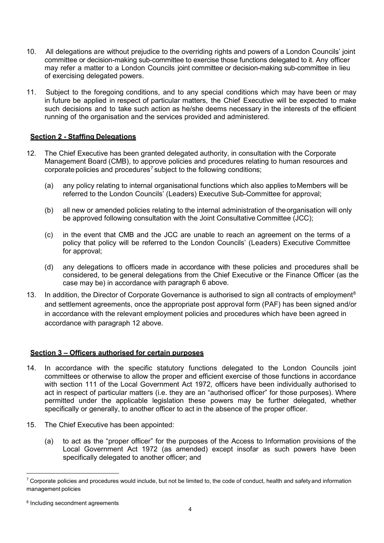- 10. All delegations are without prejudice to the overriding rights and powers of a London Councils' joint committee or decision-making sub-committee to exercise those functions delegated to it. Any officer may refer a matter to a London Councils joint committee or decision-making sub-committee in lieu of exercising delegated powers.
- 11. Subject to the foregoing conditions, and to any special conditions which may have been or may in future be applied in respect of particular matters, the Chief Executive will be expected to make such decisions and to take such action as he/she deems necessary in the interests of the efficient running of the organisation and the services provided and administered.

## **Section 2 - Staffing Delegations**

- 12. The Chief Executive has been granted delegated authority, in consultation with the Corporate Management Board (CMB), to approve policies and procedures relating to human resources and corporate policies and procedures<sup>[7](#page-3-0)</sup> subject to the following conditions;
	- (a) any policy relating to internal organisational functions which also applies toMembers will be referred to the London Councils' (Leaders) Executive Sub-Committee for approval;
	- (b) all new or amended policies relating to the internal administration of theorganisation will only be approved following consultation with the Joint Consultative Committee (JCC);
	- (c) in the event that CMB and the JCC are unable to reach an agreement on the terms of a policy that policy will be referred to the London Councils' (Leaders) Executive Committee for approval;
	- (d) any delegations to officers made in accordance with these policies and procedures shall be considered, to be general delegations from the Chief Executive or the Finance Officer (as the case may be) in accordance with paragraph 6 above.
- 13. In addition, the Director of Corporate Governance is authorised to sign all contracts of employment<sup>[8](#page-3-1)</sup> and settlement agreements, once the appropriate post approval form (PAF) has been signed and/or in accordance with the relevant employment policies and procedures which have been agreed in accordance with paragraph 12 above.

### **Section 3 – Officers authorised for certain purposes**

- 14. In accordance with the specific statutory functions delegated to the London Councils joint committees or otherwise to allow the proper and efficient exercise of those functions in accordance with section 111 of the Local Government Act 1972, officers have been individually authorised to act in respect of particular matters (i.e. they are an "authorised officer" for those purposes). Where permitted under the applicable legislation these powers may be further delegated, whether specifically or generally, to another officer to act in the absence of the proper officer.
- 15. The Chief Executive has been appointed:
	- (a) to act as the "proper officer" for the purposes of the Access to Information provisions of the Local Government Act 1972 (as amended) except insofar as such powers have been specifically delegated to another officer; and

<span id="page-3-0"></span> $7$  Corporate policies and procedures would include, but not be limited to, the code of conduct, health and safety and information management policies

<span id="page-3-1"></span><sup>8</sup> Including secondment agreements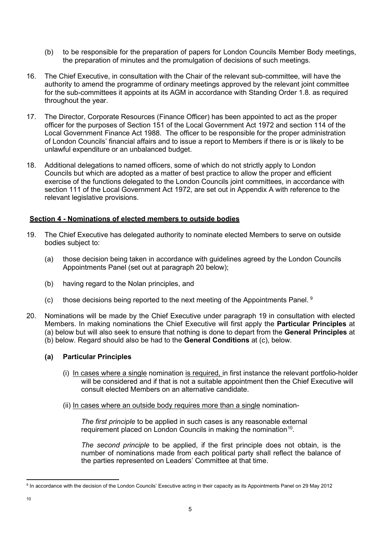- (b) to be responsible for the preparation of papers for London Councils Member Body meetings, the preparation of minutes and the promulgation of decisions of such meetings.
- 16. The Chief Executive, in consultation with the Chair of the relevant sub-committee, will have the authority to amend the programme of ordinary meetings approved by the relevant joint committee for the sub-committees it appoints at its AGM in accordance with Standing Order 1.8. as required throughout the year.
- 17. The Director, Corporate Resources (Finance Officer) has been appointed to act as the proper officer for the purposes of Section 151 of the Local Government Act 1972 and section 114 of the Local Government Finance Act 1988. The officer to be responsible for the proper administration of London Councils' financial affairs and to issue a report to Members if there is or is likely to be unlawful expenditure or an unbalanced budget.
- 18. Additional delegations to named officers, some of which do not strictly apply to London Councils but which are adopted as a matter of best practice to allow the proper and efficient exercise of the functions delegated to the London Councils joint committees, in accordance with section 111 of the Local Government Act 1972, are set out in Appendix A with reference to the relevant legislative provisions.

### **Section 4 - Nominations of elected members to outside bodies**

- 19. The Chief Executive has delegated authority to nominate elected Members to serve on outside bodies subject to:
	- (a) those decision being taken in accordance with guidelines agreed by the London Councils Appointments Panel (set out at paragraph 20 below);
	- (b) having regard to the Nolan principles, and
	- (c) those decisions being reported to the next meeting of the Appointments Panel.  $9$
- 20. Nominations will be made by the Chief Executive under paragraph 19 in consultation with elected Members. In making nominations the Chief Executive will first apply the **Particular Principles** at (a) below but will also seek to ensure that nothing is done to depart from the **General Principles** at (b) below. Regard should also be had to the **General Conditions** at (c), below.

### **(a) Particular Principles**

- (i) In cases where a single nomination is required, in first instance the relevant portfolio-holder will be considered and if that is not a suitable appointment then the Chief Executive will consult elected Members on an alternative candidate.
- (ii) In cases where an outside body requires more than a single nomination-

*The first principle* to be applied in such cases is any reasonable external requirement placed on London Councils in making the nomination<sup>[10](#page-4-1)</sup>.

*The second principle* to be applied, if the first principle does not obtain, is the number of nominations made from each political party shall reflect the balance of the parties represented on Leaders' Committee at that time.

<span id="page-4-1"></span><span id="page-4-0"></span><sup>9</sup> In accordance with the decision of the London Councils' Executive acting in their capacity as its Appointments Panel on 29 May 2012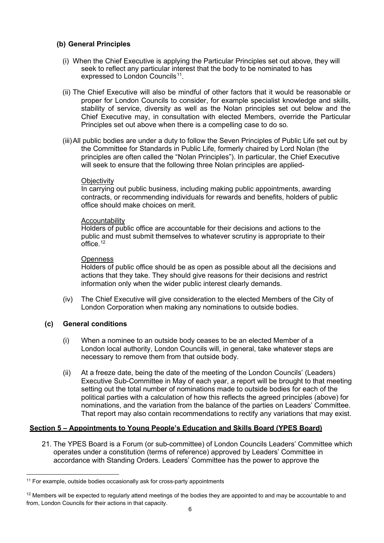## **(b) General Principles**

- (i) When the Chief Executive is applying the Particular Principles set out above, they will seek to reflect any particular interest that the body to be nominated to has expressed to London Councils<sup>[11](#page-5-0)</sup>.
- (ii) The Chief Executive will also be mindful of other factors that it would be reasonable or proper for London Councils to consider, for example specialist knowledge and skills, stability of service, diversity as well as the Nolan principles set out below and the Chief Executive may, in consultation with elected Members, override the Particular Principles set out above when there is a compelling case to do so.
- (iii)All public bodies are under a duty to follow the Seven Principles of Public Life set out by the Committee for Standards in Public Life, formerly chaired by Lord Nolan (the principles are often called the "Nolan Principles"). In particular, the Chief Executive will seek to ensure that the following three Nolan principles are applied-

#### **Objectivity**

In carrying out public business, including making public appointments, awarding contracts, or recommending individuals for rewards and benefits, holders of public office should make choices on merit.

#### **Accountability**

Holders of public office are accountable for their decisions and actions to the public and must submit themselves to whatever scrutiny is appropriate to their office. [12](#page-5-1)

#### **Openness**

Holders of public office should be as open as possible about all the decisions and actions that they take. They should give reasons for their decisions and restrict information only when the wider public interest clearly demands.

(iv) The Chief Executive will give consideration to the elected Members of the City of London Corporation when making any nominations to outside bodies.

### **(c) General conditions**

- (i) When a nominee to an outside body ceases to be an elected Member of a London local authority, London Councils will, in general, take whatever steps are necessary to remove them from that outside body.
- (ii) At a freeze date, being the date of the meeting of the London Councils' (Leaders) Executive Sub-Committee in May of each year, a report will be brought to that meeting setting out the total number of nominations made to outside bodies for each of the political parties with a calculation of how this reflects the agreed principles (above) for nominations, and the variation from the balance of the parties on Leaders' Committee. That report may also contain recommendations to rectify any variations that may exist.

# **Section 5 – Appointments to Young People's Education and Skills Board (YPES Board)**

21. The YPES Board is a Forum (or sub-committee) of London Councils Leaders' Committee which operates under a constitution (terms of reference) approved by Leaders' Committee in accordance with Standing Orders. Leaders' Committee has the power to approve the

<span id="page-5-0"></span><sup>&</sup>lt;sup>11</sup> For example, outside bodies occasionally ask for cross-party appointments

<span id="page-5-1"></span> $12$  Members will be expected to regularly attend meetings of the bodies they are appointed to and may be accountable to and from, London Councils for their actions in that capacity.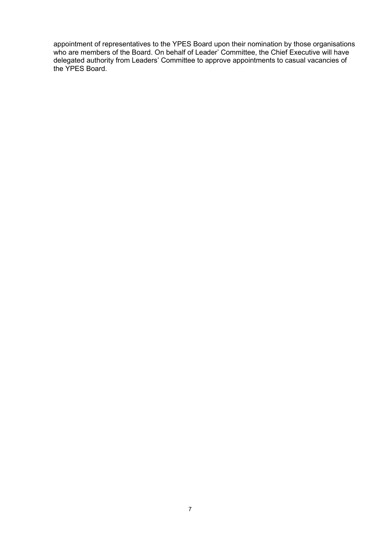appointment of representatives to the YPES Board upon their nomination by those organisations who are members of the Board. On behalf of Leader' Committee, the Chief Executive will have delegated authority from Leaders' Committee to approve appointments to casual vacancies of the YPES Board.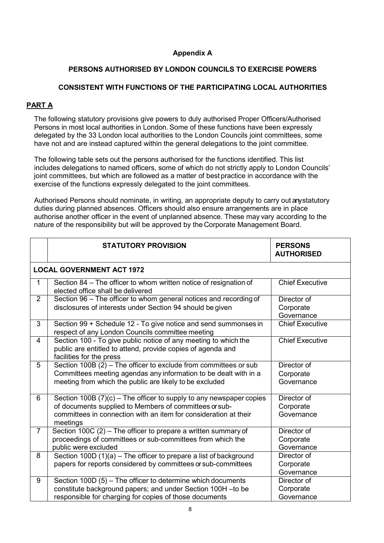# **Appendix A**

# **PERSONS AUTHORISED BY LONDON COUNCILS TO EXERCISE POWERS**

# **CONSISTENT WITH FUNCTIONS OF THE PARTICIPATING LOCAL AUTHORITIES**

# **PART A**

The following statutory provisions give powers to duly authorised Proper Officers/Authorised Persons in most local authorities in London. Some of these functions have been expressly delegated by the 33 London local authorities to the London Councils joint committees, some have not and are instead captured within the general delegations to the joint committee.

The following table sets out the persons authorised for the functions identified. This list includes delegations to named officers, some of which do not strictly apply to London Councils' joint committees, but which are followed as a matter of best practice in accordance with the exercise of the functions expressly delegated to the joint committees.

Authorised Persons should nominate, in writing, an appropriate deputy to carry out any statutory duties during planned absences. Officers should also ensure arrangements are in place authorise another officer in the event of unplanned absence. These may vary according to the nature of the responsibility but will be approved by the Corporate Management Board.

|                | <b>STATUTORY PROVISION</b>                                                                                                                                                                                      | <b>PERSONS</b><br><b>AUTHORISED</b>    |  |  |  |  |
|----------------|-----------------------------------------------------------------------------------------------------------------------------------------------------------------------------------------------------------------|----------------------------------------|--|--|--|--|
|                | <b>LOCAL GOVERNMENT ACT 1972</b>                                                                                                                                                                                |                                        |  |  |  |  |
| 1              | Section 84 - The officer to whom written notice of resignation of<br>elected office shall be delivered                                                                                                          | <b>Chief Executive</b>                 |  |  |  |  |
| $\overline{2}$ | Section 96 - The officer to whom general notices and recording of<br>disclosures of interests under Section 94 should be given                                                                                  | Director of<br>Corporate<br>Governance |  |  |  |  |
| 3              | Section 99 + Schedule 12 - To give notice and send summonses in<br>respect of any London Councils committee meeting                                                                                             | <b>Chief Executive</b>                 |  |  |  |  |
| $\overline{4}$ | Section 100 - To give public notice of any meeting to which the<br>public are entitled to attend, provide copies of agenda and<br>facilities for the press                                                      | <b>Chief Executive</b>                 |  |  |  |  |
| 5              | Section 100B (2) - The officer to exclude from committees or sub<br>Committees meeting agendas any information to be dealt with in a<br>meeting from which the public are likely to be excluded                 | Director of<br>Corporate<br>Governance |  |  |  |  |
| 6              | Section 100B $(7)(c)$ – The officer to supply to any newspaper copies<br>of documents supplied to Members of committees or sub-<br>committees in connection with an item for consideration at their<br>meetings | Director of<br>Corporate<br>Governance |  |  |  |  |
| $\overline{7}$ | Section 100C (2) - The officer to prepare a written summary of<br>proceedings of committees or sub-committees from which the<br>public were excluded                                                            | Director of<br>Corporate<br>Governance |  |  |  |  |
| 8              | Section 100D (1)(a) - The officer to prepare a list of background<br>papers for reports considered by committees or sub-committees                                                                              | Director of<br>Corporate<br>Governance |  |  |  |  |
| 9              | Section 100D (5) – The officer to determine which documents<br>constitute background papers; and under Section 100H-to be<br>responsible for charging for copies of those documents                             | Director of<br>Corporate<br>Governance |  |  |  |  |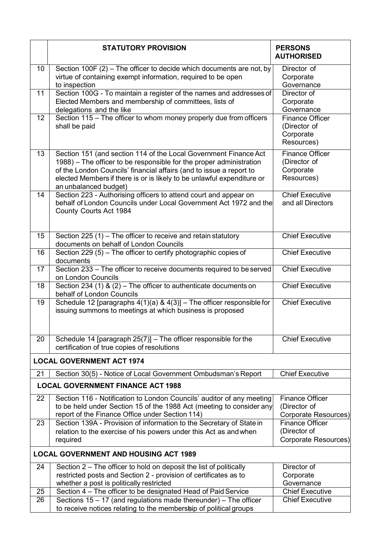|                                          | <b>STATUTORY PROVISION</b>                                                                                                                                                                                                                                                                                        | <b>PERSONS</b><br><b>AUTHORISED</b>                               |  |  |  |
|------------------------------------------|-------------------------------------------------------------------------------------------------------------------------------------------------------------------------------------------------------------------------------------------------------------------------------------------------------------------|-------------------------------------------------------------------|--|--|--|
| 10                                       | Section 100F (2) – The officer to decide which documents are not, by<br>virtue of containing exempt information, required to be open<br>to inspection                                                                                                                                                             | Director of<br>Corporate<br>Governance                            |  |  |  |
| 11                                       | Section 100G - To maintain a register of the names and addresses of<br>Elected Members and membership of committees, lists of<br>delegations and the like                                                                                                                                                         | Director of<br>Corporate<br>Governance                            |  |  |  |
| 12 <sub>2</sub>                          | Section 115 - The officer to whom money properly due from officers<br>shall be paid                                                                                                                                                                                                                               | <b>Finance Officer</b><br>(Director of<br>Corporate<br>Resources) |  |  |  |
| 13                                       | Section 151 (and section 114 of the Local Government Finance Act<br>1988) – The officer to be responsible for the proper administration<br>of the London Councils' financial affairs (and to issue a report to<br>elected Members if there is or is likely to be unlawful expenditure or<br>an unbalanced budget) | <b>Finance Officer</b><br>(Director of<br>Corporate<br>Resources) |  |  |  |
| 14                                       | Section 223 - Authorising officers to attend court and appear on<br>behalf of London Councils under Local Government Act 1972 and the<br>County Courts Act 1984                                                                                                                                                   | <b>Chief Executive</b><br>and all Directors                       |  |  |  |
| 15                                       | Section 225 $(1)$ – The officer to receive and retain statutory<br>documents on behalf of London Councils                                                                                                                                                                                                         | <b>Chief Executive</b>                                            |  |  |  |
| 16                                       | Section 229 $(5)$ – The officer to certify photographic copies of<br>documents                                                                                                                                                                                                                                    | <b>Chief Executive</b>                                            |  |  |  |
| 17                                       | Section 233 - The officer to receive documents required to be served<br>on London Councils                                                                                                                                                                                                                        | <b>Chief Executive</b>                                            |  |  |  |
| 18                                       | Section 234 (1) & (2) – The officer to authenticate documents on<br>behalf of London Councils                                                                                                                                                                                                                     | <b>Chief Executive</b>                                            |  |  |  |
| 19                                       | Schedule 12 [paragraphs $4(1)(a)$ & $4(3)$ ] - The officer responsible for<br>issuing summons to meetings at which business is proposed                                                                                                                                                                           | <b>Chief Executive</b>                                            |  |  |  |
| 20                                       | Schedule 14 [paragraph $25(7)$ ] – The officer responsible for the<br>certification of true copies of resolutions                                                                                                                                                                                                 | <b>Chief Executive</b>                                            |  |  |  |
|                                          | <b>LOCAL GOVERNMENT ACT 1974</b>                                                                                                                                                                                                                                                                                  |                                                                   |  |  |  |
| 21                                       | Section 30(5) - Notice of Local Government Ombudsman's Report                                                                                                                                                                                                                                                     | <b>Chief Executive</b>                                            |  |  |  |
| <b>LOCAL GOVERNMENT FINANCE ACT 1988</b> |                                                                                                                                                                                                                                                                                                                   |                                                                   |  |  |  |
| 22                                       | Section 116 - Notification to London Councils' auditor of any meeting<br>to be held under Section 15 of the 1988 Act (meeting to consider any<br>report of the Finance Office under Section 114)                                                                                                                  | <b>Finance Officer</b><br>(Director of<br>Corporate Resources)    |  |  |  |
| 23                                       | Section 139A - Provision of information to the Secretary of State in<br>relation to the exercise of his powers under this Act as and when<br>required                                                                                                                                                             | <b>Finance Officer</b><br>(Director of<br>Corporate Resources)    |  |  |  |
|                                          | <b>LOCAL GOVERNMENT AND HOUSING ACT 1989</b>                                                                                                                                                                                                                                                                      |                                                                   |  |  |  |
| 24                                       | Section 2 – The officer to hold on deposit the list of politically<br>restricted posts and Section 2 - provision of certificates as to<br>whether a post is politically restricted                                                                                                                                | Director of<br>Corporate<br>Governance                            |  |  |  |
| 25                                       | Section 4 – The officer to be designated Head of Paid Service                                                                                                                                                                                                                                                     | <b>Chief Executive</b>                                            |  |  |  |
| 26                                       | Sections $15 - 17$ (and regulations made thereunder) – The officer<br>to receive notices relating to the membership of political groups                                                                                                                                                                           | <b>Chief Executive</b>                                            |  |  |  |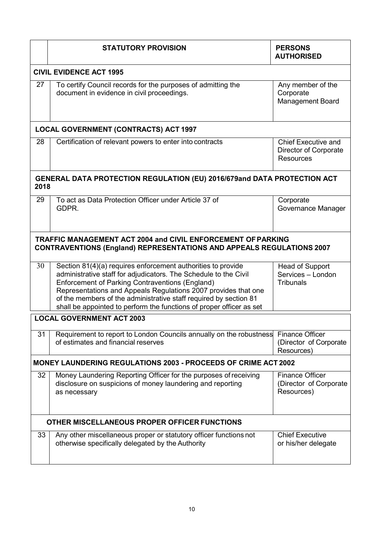|                                                                                                                                              | <b>STATUTORY PROVISION</b>                                                                                                                                                                                                                                                                                                                                                                                | <b>PERSONS</b><br><b>AUTHORISED</b>                                            |  |  |  |
|----------------------------------------------------------------------------------------------------------------------------------------------|-----------------------------------------------------------------------------------------------------------------------------------------------------------------------------------------------------------------------------------------------------------------------------------------------------------------------------------------------------------------------------------------------------------|--------------------------------------------------------------------------------|--|--|--|
| <b>CIVIL EVIDENCE ACT 1995</b>                                                                                                               |                                                                                                                                                                                                                                                                                                                                                                                                           |                                                                                |  |  |  |
| 27                                                                                                                                           | To certify Council records for the purposes of admitting the<br>document in evidence in civil proceedings.                                                                                                                                                                                                                                                                                                | Any member of the<br>Corporate<br><b>Management Board</b>                      |  |  |  |
| <b>LOCAL GOVERNMENT (CONTRACTS) ACT 1997</b>                                                                                                 |                                                                                                                                                                                                                                                                                                                                                                                                           |                                                                                |  |  |  |
| 28                                                                                                                                           | Certification of relevant powers to enter into contracts                                                                                                                                                                                                                                                                                                                                                  | <b>Chief Executive and</b><br><b>Director of Corporate</b><br><b>Resources</b> |  |  |  |
| <b>GENERAL DATA PROTECTION REGULATION (EU) 2016/679and DATA PROTECTION ACT</b><br>2018                                                       |                                                                                                                                                                                                                                                                                                                                                                                                           |                                                                                |  |  |  |
| 29                                                                                                                                           | To act as Data Protection Officer under Article 37 of<br>GDPR.                                                                                                                                                                                                                                                                                                                                            | Corporate<br>Governance Manager                                                |  |  |  |
| TRAFFIC MANAGEMENT ACT 2004 and CIVIL ENFORCEMENT OF PARKING<br><b>CONTRAVENTIONS (England) REPRESENTATIONS AND APPEALS REGULATIONS 2007</b> |                                                                                                                                                                                                                                                                                                                                                                                                           |                                                                                |  |  |  |
| 30                                                                                                                                           | Section 81(4)(a) requires enforcement authorities to provide<br>administrative staff for adjudicators. The Schedule to the Civil<br><b>Enforcement of Parking Contraventions (England)</b><br>Representations and Appeals Regulations 2007 provides that one<br>of the members of the administrative staff required by section 81<br>shall be appointed to perform the functions of proper officer as set | <b>Head of Support</b><br>Services - London<br><b>Tribunals</b>                |  |  |  |
|                                                                                                                                              | <b>LOCAL GOVERNMENT ACT 2003</b>                                                                                                                                                                                                                                                                                                                                                                          |                                                                                |  |  |  |
| 31                                                                                                                                           | Requirement to report to London Councils annually on the robustness<br>of estimates and financial reserves                                                                                                                                                                                                                                                                                                | <b>Finance Officer</b><br>(Director of Corporate<br>Resources)                 |  |  |  |
| <b>MONEY LAUNDERING REGULATIONS 2003 - PROCEEDS OF CRIME ACT 2002</b>                                                                        |                                                                                                                                                                                                                                                                                                                                                                                                           |                                                                                |  |  |  |
| 32                                                                                                                                           | Money Laundering Reporting Officer for the purposes of receiving<br>disclosure on suspicions of money laundering and reporting<br>as necessary                                                                                                                                                                                                                                                            | <b>Finance Officer</b><br>(Director of Corporate<br>Resources)                 |  |  |  |
| OTHER MISCELLANEOUS PROPER OFFICER FUNCTIONS                                                                                                 |                                                                                                                                                                                                                                                                                                                                                                                                           |                                                                                |  |  |  |
| 33                                                                                                                                           | Any other miscellaneous proper or statutory officer functions not<br>otherwise specifically delegated by the Authority                                                                                                                                                                                                                                                                                    | <b>Chief Executive</b><br>or his/her delegate                                  |  |  |  |